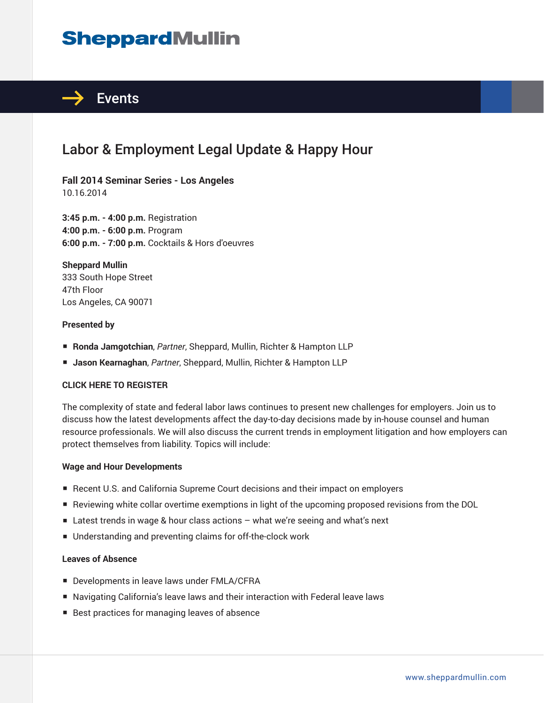# **SheppardMullin**



# Labor & Employment Legal Update & Happy Hour

**Fall 2014 Seminar Series - Los Angeles** 10.16.2014

**3:45 p.m. - 4:00 p.m.** Registration **4:00 p.m. - 6:00 p.m.** Program **6:00 p.m. - 7:00 p.m.** Cocktails & Hors d'oeuvres

**Sheppard Mullin** 333 South Hope Street 47th Floor Los Angeles, CA 90071

#### **Presented by**

- **Ronda Jamgotchian**, *Partner*, Sheppard, Mullin, Richter & Hampton LLP
- **Jason Kearnaghan**, *Partner*, Sheppard, Mullin, Richter & Hampton LLP

#### **CLICK HERE TO REGISTER**

The complexity of state and federal labor laws continues to present new challenges for employers. Join us to discuss how the latest developments affect the day-to-day decisions made by in-house counsel and human resource professionals. We will also discuss the current trends in employment litigation and how employers can protect themselves from liability. Topics will include:

#### **Wage and Hour Developments**

- Recent U.S. and California Supreme Court decisions and their impact on employers
- Reviewing white collar overtime exemptions in light of the upcoming proposed revisions from the DOL
- Latest trends in wage & hour class actions what we're seeing and what's next
- Understanding and preventing claims for off-the-clock work

#### **Leaves of Absence**

- Developments in leave laws under FMLA/CFRA
- Navigating California's leave laws and their interaction with Federal leave laws
- Best practices for managing leaves of absence